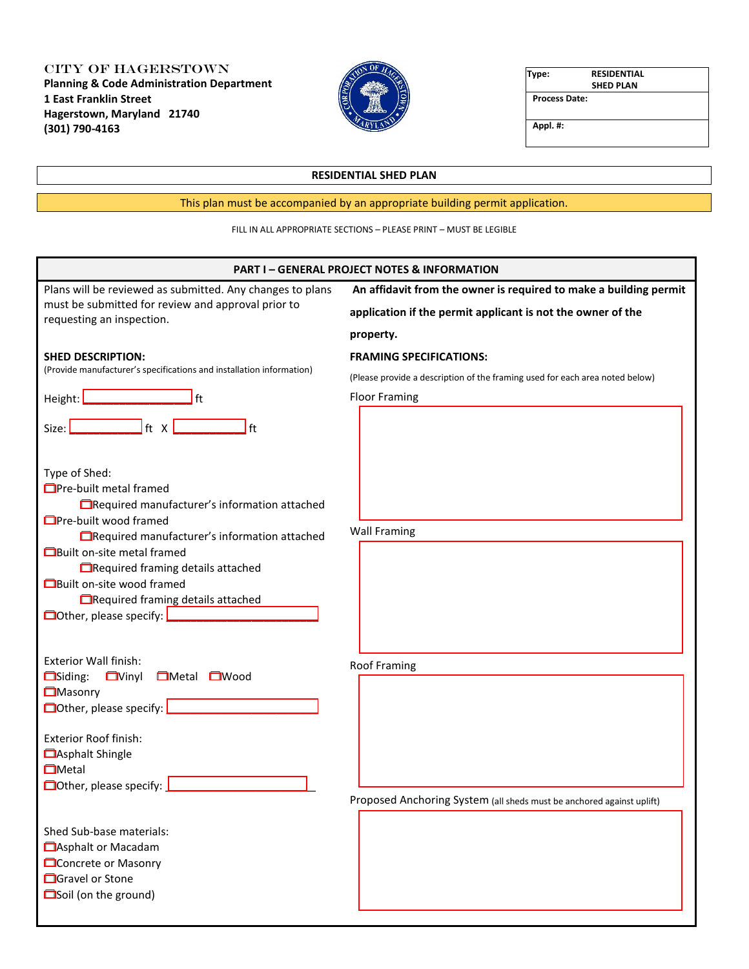City of Hagerstown **Planning & Code Administration Department 1 East Franklin Street Hagerstown, Maryland 21740 (301) 790-4163**



| Type:                | <b>RESIDENTIAL</b> |
|----------------------|--------------------|
|                      | <b>SHED PLAN</b>   |
| <b>Process Date:</b> |                    |
| Appl. #:             |                    |

## **RESIDENTIAL SHED PLAN**

# This plan must be accompanied by an appropriate building permit application.

## FILL IN ALL APPROPRIATE SECTIONS – PLEASE PRINT – MUST BE LEGIBLE

| <b>PART I-GENERAL PROJECT NOTES &amp; INFORMATION</b>                                                                                                                                                                                                                                                                                                                                                |                                                                                                                                  |  |
|------------------------------------------------------------------------------------------------------------------------------------------------------------------------------------------------------------------------------------------------------------------------------------------------------------------------------------------------------------------------------------------------------|----------------------------------------------------------------------------------------------------------------------------------|--|
| Plans will be reviewed as submitted. Any changes to plans<br>must be submitted for review and approval prior to<br>requesting an inspection.                                                                                                                                                                                                                                                         | An affidavit from the owner is required to make a building permit<br>application if the permit applicant is not the owner of the |  |
|                                                                                                                                                                                                                                                                                                                                                                                                      | property.                                                                                                                        |  |
| <b>SHED DESCRIPTION:</b><br>(Provide manufacturer's specifications and installation information)                                                                                                                                                                                                                                                                                                     | <b>FRAMING SPECIFICATIONS:</b>                                                                                                   |  |
|                                                                                                                                                                                                                                                                                                                                                                                                      | (Please provide a description of the framing used for each area noted below)                                                     |  |
| ft<br>Height: L                                                                                                                                                                                                                                                                                                                                                                                      | <b>Floor Framing</b>                                                                                                             |  |
| l ft<br>Size: L                                                                                                                                                                                                                                                                                                                                                                                      |                                                                                                                                  |  |
| Type of Shed:<br><b>O</b> Pre-built metal framed<br>Required manufacturer's information attached<br><b>O</b> Pre-built wood framed<br>Required manufacturer's information attached                                                                                                                                                                                                                   | <b>Wall Framing</b>                                                                                                              |  |
| <b>OBuilt on-site metal framed</b><br>□ Required framing details attached<br><b>OBuilt on-site wood framed</b><br><b>ElRequired framing details attached</b><br>Other, please specify: <b>Queen Contract Contract Contract Contract Contract Contract Contract Contract Contract Contract Contract Contract Contract Contract Contract Contract Contract Contract Contract Contract Contract Con</b> |                                                                                                                                  |  |
| <b>Exterior Wall finish:</b><br><b>EMetal EWood</b><br>$\Box$ Siding:<br><b>N</b> inyl<br><b>OMasonry</b>                                                                                                                                                                                                                                                                                            | <b>Roof Framing</b>                                                                                                              |  |
| Exterior Roof finish:<br><b>CASphalt Shingle</b><br><b>O</b> Metal<br>$\Box$ Other, please specify:                                                                                                                                                                                                                                                                                                  |                                                                                                                                  |  |
|                                                                                                                                                                                                                                                                                                                                                                                                      | Proposed Anchoring System (all sheds must be anchored against uplift)                                                            |  |
| Shed Sub-base materials:<br>Asphalt or Macadam<br><b>Concrete or Masonry</b><br><b>C</b> Gravel or Stone<br>Soil (on the ground)                                                                                                                                                                                                                                                                     |                                                                                                                                  |  |